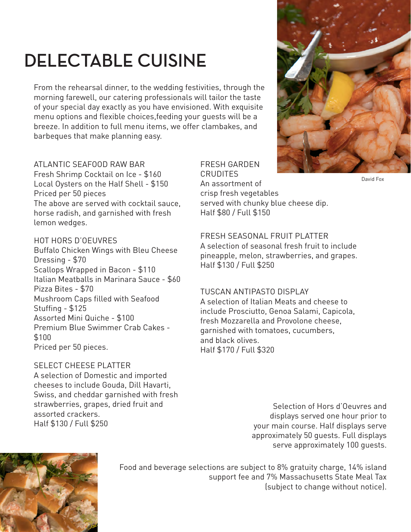# **DELECTABLE CUISINE**

From the rehearsal dinner, to the wedding festivities, through the morning farewell, our catering professionals will tailor the taste of your special day exactly as you have envisioned. With exquisite menu options and flexible choices,feeding your guests will be a breeze. In addition to full menu items, we offer clambakes, and barbeques that make planning easy.

# ATLANTIC SEAFOOD RAW BAR

Fresh Shrimp Cocktail on Ice - \$160 Local Oysters on the Half Shell - \$150 Priced per 50 pieces The above are served with cocktail sauce, horse radish, and garnished with fresh lemon wedges.

# HOT HORS D'OEUVRES

Buffalo Chicken Wings with Bleu Cheese Dressing - \$70 Scallops Wrapped in Bacon - \$110 Italian Meatballs in Marinara Sauce - \$60 Pizza Bites - \$70 Mushroom Caps filled with Seafood Stuffing - \$125 Assorted Mini Quiche - \$100 Premium Blue Swimmer Crab Cakes - \$100 Priced per 50 pieces.

### SELECT CHEESE PLATTER

A selection of Domestic and imported cheeses to include Gouda, Dill Havarti, Swiss, and cheddar garnished with fresh strawberries, grapes, dried fruit and assorted crackers. Half \$130 / Full \$250

#### FRESH GARDEN **CRUDITES**

An assortment of crisp fresh vegetables served with chunky blue cheese dip. Half \$80 / Full \$150

# FRESH SEASONAL FRUIT PLATTER

A selection of seasonal fresh fruit to include pineapple, melon, strawberries, and grapes. Half \$130 / Full \$250

#### TUSCAN ANTIPASTO DISPLAY

A selection of Italian Meats and cheese to include Prosciutto, Genoa Salami, Capicola, fresh Mozzarella and Provolone cheese, garnished with tomatoes, cucumbers, and black olives. Half \$170 / Full \$320

> Selection of Hors d'Oeuvres and displays served one hour prior to your main course. Half displays serve approximately 50 guests. Full displays serve approximately 100 guests.



Food and beverage selections are subject to 8% gratuity charge, 14% island support fee and 7% Massachusetts State Meal Tax (subject to change without notice).



David Fox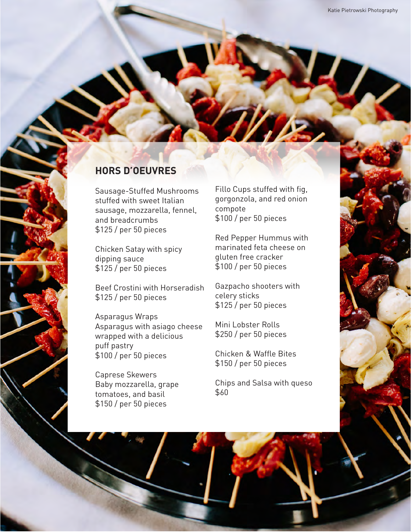# **HORS D'OEUVRES**

Sausage-Stuffed Mushrooms stuffed with sweet Italian sausage, mozzarella, fennel, and breadcrumbs \$125 / per 50 pieces

Chicken Satay with spicy dipping sauce \$125 / per 50 pieces

Beef Crostini with Horseradish \$125 / per 50 pieces

Asparagus Wraps Asparagus with asiago cheese wrapped with a delicious puff pastry \$100 / per 50 pieces

Caprese Skewers Baby mozzarella, grape tomatoes, and basil \$150 / per 50 pieces

Fillo Cups stuffed with fig, gorgonzola, and red onion compote \$100 / per 50 pieces

Red Pepper Hummus with marinated feta cheese on gluten free cracker \$100 / per 50 pieces

Gazpacho shooters with celery sticks \$125 / per 50 pieces

Mini Lobster Rolls \$250 / per 50 pieces

Chicken & Waffle Bites \$150 / per 50 pieces

Chips and Salsa with queso \$60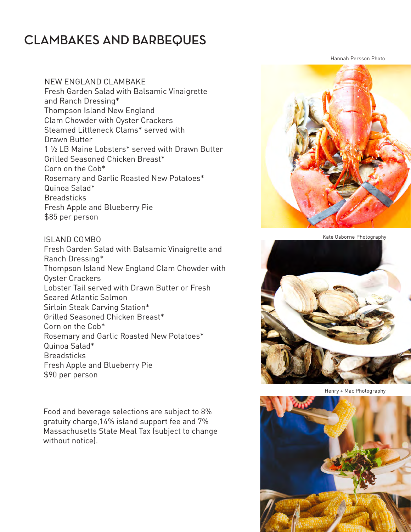# **CLAMBAKES AND BARBEQUES**

NEW ENGLAND CLAMBAKE Fresh Garden Salad with Balsamic Vinaigrette and Ranch Dressing\* Thompson Island New England Clam Chowder with Oyster Crackers Steamed Littleneck Clams\* served with Drawn Butter 1 1/2 LB Maine Lobsters\* served with Drawn Butter Grilled Seasoned Chicken Breast\* Corn on the Cob\* Rosemary and Garlic Roasted New Potatoes\* Quinoa Salad\* **Breadsticks** Fresh Apple and Blueberry Pie \$85 per person

#### ISLAND COMBO

Fresh Garden Salad with Balsamic Vinaigrette and Ranch Dressing\* Thompson Island New England Clam Chowder with Oyster Crackers Lobster Tail served with Drawn Butter or Fresh Seared Atlantic Salmon Sirloin Steak Carving Station\* Grilled Seasoned Chicken Breast\* Corn on the Cob\* Rosemary and Garlic Roasted New Potatoes\* Quinoa Salad\* **Breadsticks** Fresh Apple and Blueberry Pie \$90 per person

Food and beverage selections are subject to 8% gratuity charge,14% island support fee and 7% Massachusetts State Meal Tax (subject to change without notice).

Hannah Persson Photo





Henry + Mac Photography

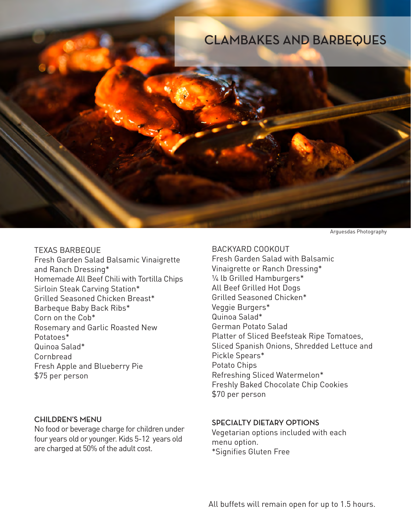

Arguesdas Photography

#### TEXAS BARBEQUE

Fresh Garden Salad Balsamic Vinaigrette and Ranch Dressing\* Homemade All Beef Chili with Tortilla Chips Sirloin Steak Carving Station\* Grilled Seasoned Chicken Breast\* Barbeque Baby Back Ribs\* Corn on the Cob\* Rosemary and Garlic Roasted New Potatoes\* Quinoa Salad\* Cornbread Fresh Apple and Blueberry Pie \$75 per person

#### **CHILDREN'S MENU**

No food or beverage charge for children under four years old or younger. Kids 5-12 years old are charged at 50% of the adult cost.

BACKYARD COOKOUT Fresh Garden Salad with Balsamic Vinaigrette or Ranch Dressing\* 1/4 lb Grilled Hamburgers\* All Beef Grilled Hot Dogs Grilled Seasoned Chicken\* Veggie Burgers\* Quinoa Salad\* German Potato Salad Platter of Sliced Beefsteak Ripe Tomatoes, Sliced Spanish Onions, Shredded Lettuce and Pickle Spears\* Potato Chips Refreshing Sliced Watermelon\* Freshly Baked Chocolate Chip Cookies \$70 per person

#### **SPECIALTY DIETARY OPTIONS**

Vegetarian options included with each menu option. \*Signifies Gluten Free